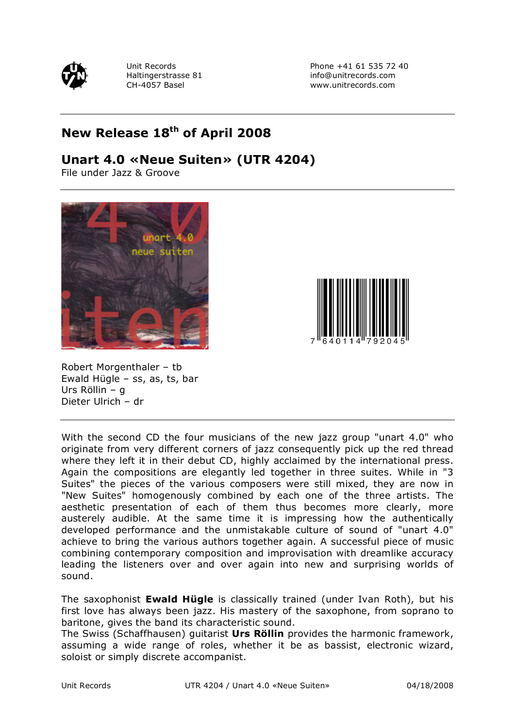

Unit Records Phone +41 61 535 72 40 Haltingerstrasse 81 info@unitrecords.com CH-4057 Basel www.unitrecords.com

## **New Release 18th of April 2008**

## **Unart 4.0 «Neue Suiten» (UTR 4204)**

File under Jazz & Groove





Robert Morgenthaler – tb Ewald Hügle – ss, as, ts, bar Urs Röllin – g Dieter Ulrich – dr

With the second CD the four musicians of the new jazz group "unart 4.0" who originate from very different corners of jazz consequently pick up the red thread where they left it in their debut CD, highly acclaimed by the international press. Again the compositions are elegantly led together in three suites. While in "3 Suites" the pieces of the various composers were still mixed, they are now in "New Suites" homogenously combined by each one of the three artists. The aesthetic presentation of each of them thus becomes more clearly, more austerely audible. At the same time it is impressing how the authentically developed performance and the unmistakable culture of sound of "unart 4.0" achieve to bring the various authors together again. A successful piece of music combining contemporary composition and improvisation with dreamlike accuracy leading the listeners over and over again into new and surprising worlds of sound.

The saxophonist **Ewald Hügle** is classically trained (under Ivan Roth), but his first love has always been jazz. His mastery of the saxophone, from soprano to baritone, gives the band its characteristic sound.

The Swiss (Schaffhausen) guitarist **Urs Röllin** provides the harmonic framework, assuming a wide range of roles, whether it be as bassist, electronic wizard, soloist or simply discrete accompanist.